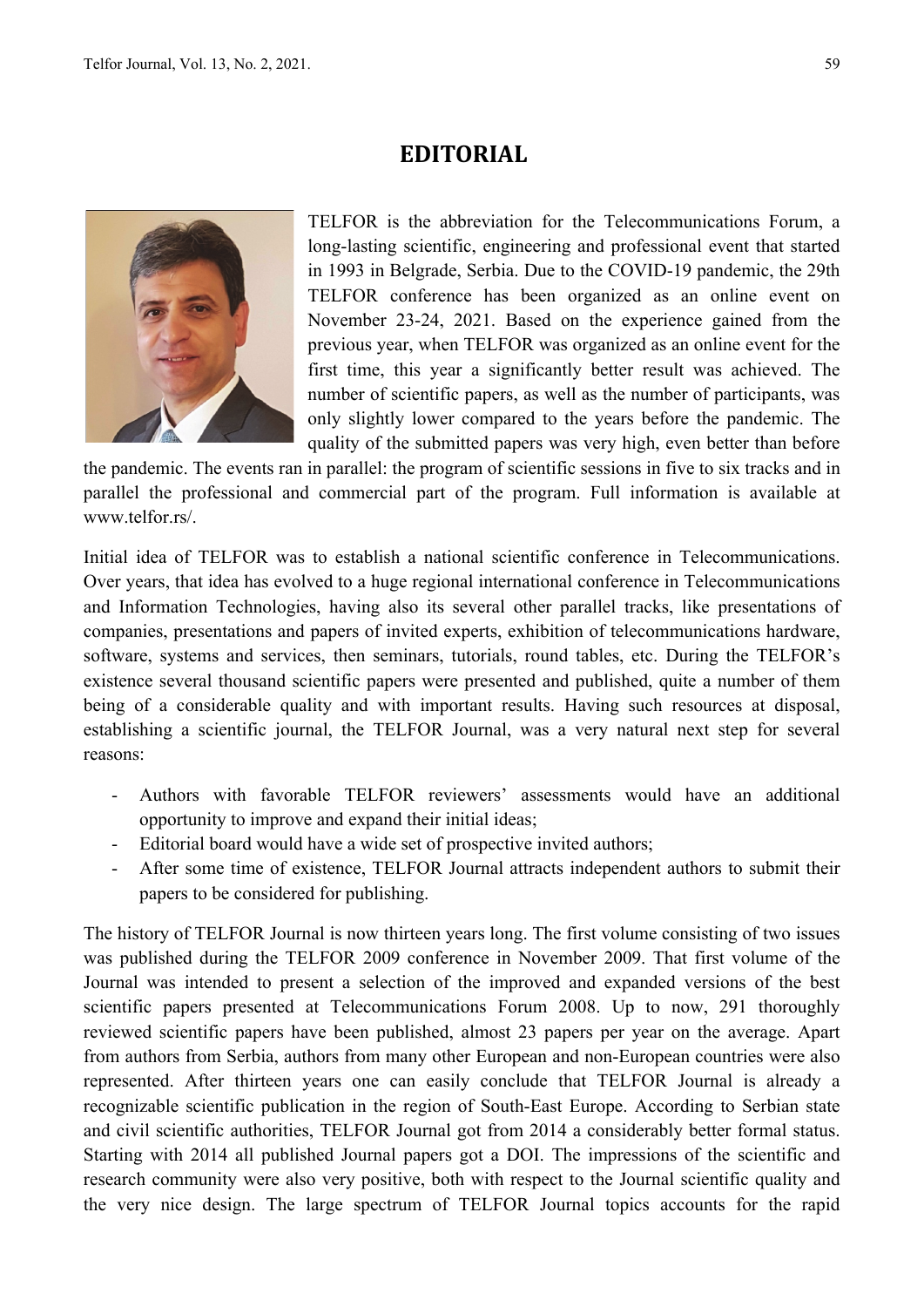## **EDITORIAL**



TELFOR is the abbreviation for the Telecommunications Forum, a long-lasting scientific, engineering and professional event that started in 1993 in Belgrade, Serbia. Due to the COVID-19 pandemic, the 29th TELFOR conference has been organized as an online event on November 23-24, 2021. Based on the experience gained from the previous year, when TELFOR was organized as an online event for the first time, this year a significantly better result was achieved. The number of scientific papers, as well as the number of participants, was only slightly lower compared to the years before the pandemic. The quality of the submitted papers was very high, even better than before

the pandemic. The events ran in parallel: the program of scientific sessions in five to six tracks and in parallel the professional and commercial part of the program. Full information is available at www.telfor.rs/.

Initial idea of TELFOR was to establish a national scientific conference in Telecommunications. Over years, that idea has evolved to a huge regional international conference in Telecommunications and Information Technologies, having also its several other parallel tracks, like presentations of companies, presentations and papers of invited experts, exhibition of telecommunications hardware, software, systems and services, then seminars, tutorials, round tables, etc. During the TELFOR's existence several thousand scientific papers were presented and published, quite a number of them being of a considerable quality and with important results. Having such resources at disposal, establishing a scientific journal, the TELFOR Journal, was a very natural next step for several reasons:

- Authors with favorable TELFOR reviewers' assessments would have an additional opportunity to improve and expand their initial ideas;
- Editorial board would have a wide set of prospective invited authors;
- After some time of existence, TELFOR Journal attracts independent authors to submit their papers to be considered for publishing.

The history of TELFOR Journal is now thirteen years long. The first volume consisting of two issues was published during the TELFOR 2009 conference in November 2009. That first volume of the Journal was intended to present a selection of the improved and expanded versions of the best scientific papers presented at Telecommunications Forum 2008. Up to now, 291 thoroughly reviewed scientific papers have been published, almost 23 papers per year on the average. Apart from authors from Serbia, authors from many other European and non-European countries were also represented. After thirteen years one can easily conclude that TELFOR Journal is already a recognizable scientific publication in the region of South-East Europe. According to Serbian state and civil scientific authorities, TELFOR Journal got from 2014 a considerably better formal status. Starting with 2014 all published Journal papers got a DOI. The impressions of the scientific and research community were also very positive, both with respect to the Journal scientific quality and the very nice design. The large spectrum of TELFOR Journal topics accounts for the rapid